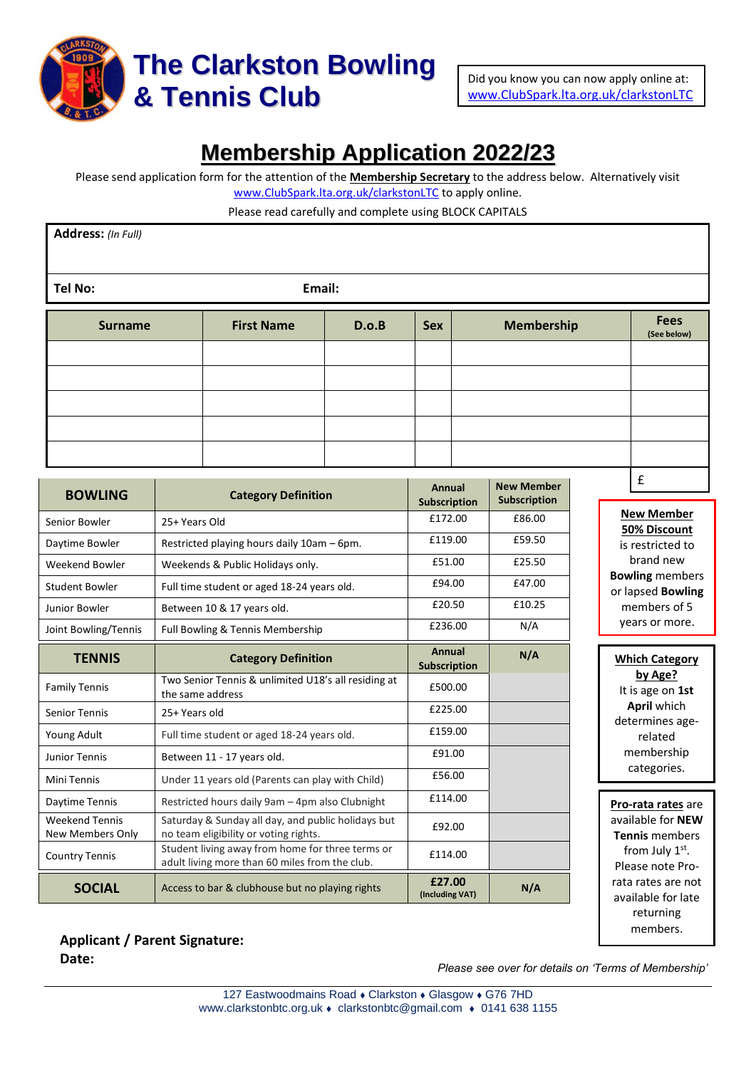

# **Membership Application 2022/23**

Please send application form for the attention of the **Membership Secretary** to the address below. Alternatively visit [www.ClubSpark.lta.org.uk/clarkstonLTC](http://www.clubspark.lta.org.uk/clarkstonLTC) to apply online.

Please read carefully and complete using BLOCK CAPITALS

| Address: (In Full)       |                   |       |            |                   |                            |  |  |  |
|--------------------------|-------------------|-------|------------|-------------------|----------------------------|--|--|--|
| Email:<br><b>Tel No:</b> |                   |       |            |                   |                            |  |  |  |
| <b>Surname</b>           | <b>First Name</b> | D.o.B | <b>Sex</b> | <b>Membership</b> | <b>Fees</b><br>(See below) |  |  |  |
|                          |                   |       |            |                   |                            |  |  |  |
|                          |                   |       |            |                   |                            |  |  |  |
|                          |                   |       |            |                   |                            |  |  |  |
|                          |                   |       |            |                   |                            |  |  |  |
|                          |                   |       |            |                   |                            |  |  |  |
|                          |                   |       |            |                   |                            |  |  |  |

| <b>BOWLING</b>                                   | <b>Category Definition</b>                                                                         | Annual<br><b>Subscription</b> | <b>New Member</b><br>Subscription | L.                                                |
|--------------------------------------------------|----------------------------------------------------------------------------------------------------|-------------------------------|-----------------------------------|---------------------------------------------------|
| Senior Bowler                                    | 25+ Years Old                                                                                      | £172.00                       | £86.00                            | <b>New Member</b><br>50% Discount                 |
| Daytime Bowler                                   | Restricted playing hours daily 10am - 6pm.                                                         | £119.00                       | £59.50                            | is restricted to                                  |
| <b>Weekend Bowler</b>                            | Weekends & Public Holidays only.                                                                   | £51.00                        | £25.50                            | brand new                                         |
| <b>Student Bowler</b>                            | Full time student or aged 18-24 years old.                                                         | £94.00                        | £47.00                            | <b>Bowling</b> members<br>or lapsed Bowling       |
| Junior Bowler                                    | Between 10 & 17 years old.                                                                         | £20.50                        | £10.25                            | members of 5                                      |
| Joint Bowling/Tennis                             | Full Bowling & Tennis Membership                                                                   | £236.00                       | N/A                               | years or more.                                    |
| <b>TENNIS</b>                                    | <b>Category Definition</b>                                                                         | Annual<br>Subscription        | N/A                               | <b>Which Category</b>                             |
| <b>Family Tennis</b>                             | Two Senior Tennis & unlimited U18's all residing at<br>the same address                            | £500.00                       |                                   | by Age?<br>It is age on 1st                       |
| <b>Senior Tennis</b>                             | 25+ Years old                                                                                      | £225.00                       |                                   | April which                                       |
| Young Adult                                      | Full time student or aged 18-24 years old.                                                         | £159.00                       |                                   | determines age-<br>related                        |
| Junior Tennis                                    | Between 11 - 17 years old.                                                                         | £91.00                        |                                   | membership                                        |
| Mini Tennis                                      | Under 11 years old (Parents can play with Child)                                                   | £56.00                        |                                   | categories.                                       |
| Daytime Tennis                                   | Restricted hours daily 9am - 4pm also Clubnight                                                    | £114.00                       |                                   | Pro-rata rates are                                |
| <b>Weekend Tennis</b><br><b>New Members Only</b> | Saturday & Sunday all day, and public holidays but<br>no team eligibility or voting rights.        | £92.00                        |                                   | available for <b>NEW</b><br><b>Tennis</b> members |
| <b>Country Tennis</b>                            | Student living away from home for three terms or<br>adult living more than 60 miles from the club. | £114.00                       |                                   | from July 1st.<br>Please note Pro-                |
| <b>SOCIAL</b>                                    | Access to bar & clubhouse but no playing rights                                                    | £27.00<br>(Including VAT)     | N/A                               | rata rates are not<br>available for late          |
|                                                  |                                                                                                    |                               |                                   | returning                                         |

**Applicant / Parent Signature: Date:**

*Please see over for details on 'Terms of Membership'*

members.